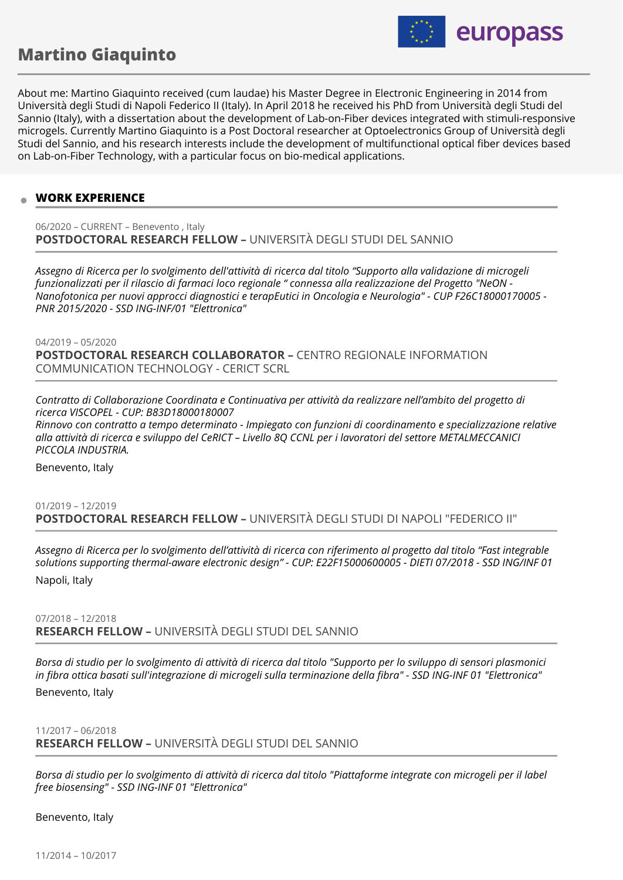# **Martino Giaquinto**



About me: Martino Giaquinto received (cum laudae) his Master Degree in Electronic Engineering in 2014 from Università degli Studi di Napoli Federico II (Italy). In April 2018 he received his PhD from Università degli Studi del Sannio (Italy), with a dissertation about the development of Lab-on-Fiber devices integrated with stimuli-responsive microgels. Currently Martino Giaquinto is a Post Doctoral researcher at Optoelectronics Group of Università degli Studi del Sannio, and his research interests include the development of multifunctional optical fiber devices based on Lab-on-Fiber Technology, with a particular focus on bio-medical applications.

# **WORK EXPERIENCE**

06/2020 – CURRENT – Benevento , Italy **POSTDOCTORAL RESEARCH FELLOW –** UNIVERSITÀ DEGLI STUDI DEL SANNIO

*Assegno di Ricerca per lo svolgimento dell'attività di ricerca dal titolo "Supporto alla validazione di microgeli funzionalizzati per il rilascio di farmaci loco regionale " connessa alla realizzazione del Progetto "NeON - Nanofotonica per nuovi approcci diagnostici e terapEutici in Oncologia e Neurologia" - CUP F26C18000170005 - PNR 2015/2020 - SSD ING-INF/01 "Elettronica"*

04/2019 – 05/2020 **POSTDOCTORAL RESEARCH COLLABORATOR –** CENTRO REGIONALE INFORMATION COMMUNICATION TECHNOLOGY - CERICT SCRL

*Contratto di Collaborazione Coordinata e Continuativa per attività da realizzare nell'ambito del progetto di ricerca VISCOPEL - CUP: B83D18000180007 Rinnovo con contratto a tempo determinato - Impiegato con funzioni di coordinamento e specializzazione relative alla attività di ricerca e sviluppo del CeRICT – Livello 8Q CCNL per i lavoratori del settore METALMECCANICI PICCOLA INDUSTRIA.*

Benevento, Italy

# 01/2019 – 12/2019 **POSTDOCTORAL RESEARCH FELLOW –** UNIVERSITÀ DEGLI STUDI DI NAPOLI "FEDERICO II"

*Assegno di Ricerca per lo svolgimento dell'attività di ricerca con riferimento al progetto dal titolo "Fast integrable solutions supporting thermal-aware electronic design" - CUP: E22F15000600005 - DIETI 07/2018 - SSD ING/INF 01* Napoli, Italy

07/2018 – 12/2018 **RESEARCH FELLOW –** UNIVERSITÀ DEGLI STUDI DEL SANNIO

*Borsa di studio per lo svolgimento di attività di ricerca dal titolo "Supporto per lo sviluppo di sensori plasmonici in fibra ottica basati sull'integrazione di microgeli sulla terminazione della fibra" - SSD ING-INF 01 "Elettronica"*

Benevento, Italy

11/2017 – 06/2018 **RESEARCH FELLOW –** UNIVERSITÀ DEGLI STUDI DEL SANNIO

*Borsa di studio per lo svolgimento di attività di ricerca dal titolo "Piattaforme integrate con microgeli per il label free biosensing" - SSD ING-INF 01 "Elettronica"*

Benevento, Italy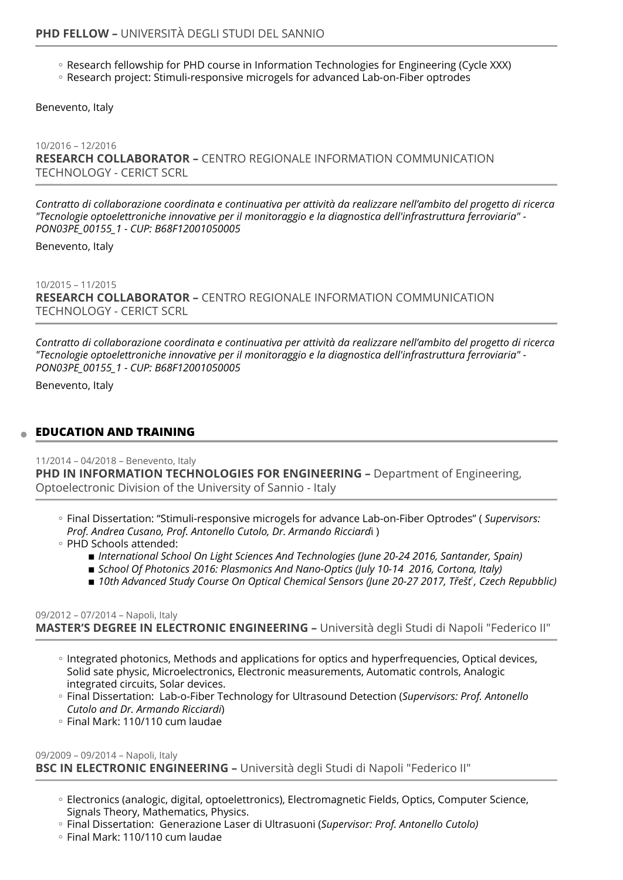- Research fellowship for PHD course in Information Technologies for Engineering (Cycle XXX)
- Research project: Stimuli-responsive microgels for advanced Lab-on-Fiber optrodes

Benevento, Italy

10/2016 – 12/2016 **RESEARCH COLLABORATOR –** CENTRO REGIONALE INFORMATION COMMUNICATION TECHNOLOGY - CERICT SCRL

*Contratto di collaborazione coordinata e continuativa per attività da realizzare nell'ambito del progetto di ricerca "Tecnologie optoelettroniche innovative per il monitoraggio e la diagnostica dell'infrastruttura ferroviaria" - PON03PE\_00155\_1 - CUP: B68F12001050005*

Benevento, Italy

10/2015 – 11/2015 **RESEARCH COLLABORATOR –** CENTRO REGIONALE INFORMATION COMMUNICATION TECHNOLOGY - CERICT SCRL

*Contratto di collaborazione coordinata e continuativa per attività da realizzare nell'ambito del progetto di ricerca "Tecnologie optoelettroniche innovative per il monitoraggio e la diagnostica dell'infrastruttura ferroviaria" - PON03PE\_00155\_1 - CUP: B68F12001050005*

Benevento, Italy

## **EDUCATION AND TRAINING**

11/2014 – 04/2018 – Benevento, Italy **PHD IN INFORMATION TECHNOLOGIES FOR ENGINEERING -** Department of Engineering, Optoelectronic Division of the University of Sannio - Italy

- Final Dissertation: "Stimuli-responsive microgels for advance Lab-on-Fiber Optrodes" ( *Supervisors: Prof. Andrea Cusano, Prof. Antonello Cutolo, Dr. Armando Ricciard*i )
- PHD Schools attended:
	- International School On Light Sciences And Technologies (June 20-24 2016, Santander, Spain)
	- School Of Photonics 2016: Plasmonics And Nano-Optics (July 10-14 2016, Cortona, Italy)
	- *10th Advanced Study Course On Optical Chemical Sensors (June 20-27 2017, Třešť , Czech Repubblic)* ▪

#### 09/2012 – 07/2014 – Napoli, Italy **MASTER'S DEGREE IN ELECTRONIC ENGINEERING –** Università degli Studi di Napoli "Federico II"

- Integrated photonics, Methods and applications for optics and hyperfrequencies, Optical devices, Solid sate physic, Microelectronics, Electronic measurements, Automatic controls, Analogic integrated circuits, Solar devices.
- Final Dissertation: Lab-o-Fiber Technology for Ultrasound Detection (*Supervisors: Prof. Antonello Cutolo and Dr. Armando Ricciardi*)
- Final Mark: 110/110 cum laudae ◦

#### 09/2009 – 09/2014 – Napoli, Italy **BSC IN ELECTRONIC ENGINEERING –** Università degli Studi di Napoli "Federico II"

- Electronics (analogic, digital, optoelettronics), Electromagnetic Fields, Optics, Computer Science, Signals Theory, Mathematics, Physics.
- Final Dissertation: Generazione Laser di Ultrasuoni (*Supervisor: Prof. Antonello Cutolo)* ◦
- Final Mark: 110/110 cum laudae ◦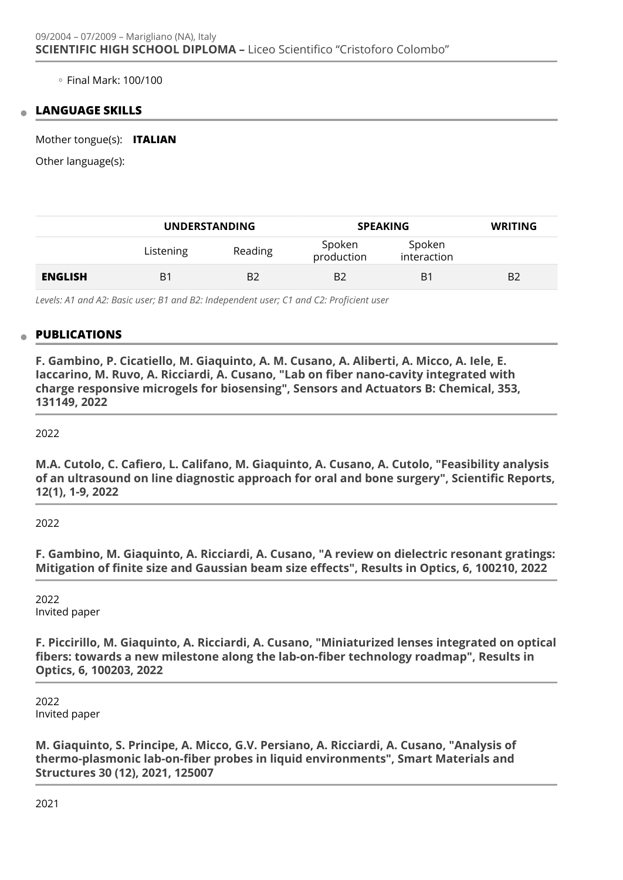◦ Final Mark: 100/100

## **LANGUAGE SKILLS**

Mother tongue(s): **ITALIAN**

Other language(s):

|                | <b>UNDERSTANDING</b> |         | <b>SPEAKING</b>      |                       | <b>WRITING</b> |
|----------------|----------------------|---------|----------------------|-----------------------|----------------|
|                | Listening            | Reading | Spoken<br>production | Spoken<br>interaction |                |
| <b>ENGLISH</b> | $B^1$                | B2      | B <sub>2</sub>       | B <sub>1</sub>        | B <sub>2</sub> |

*Levels: A1 and A2: Basic user; B1 and B2: Independent user; C1 and C2: Proficient user*

## **PUBLICATIONS**

**F. Gambino, P. Cicatiello, M. Giaquinto, A. M. Cusano, A. Aliberti, A. Micco, A. Iele, E. Iaccarino, M. Ruvo, A. Ricciardi, A. Cusano, "Lab on fiber nano-cavity integrated with charge responsive microgels for biosensing", Sensors and Actuators B: Chemical, 353, 131149, 2022** 

2022

**M.A. Cutolo, C. Cafiero, L. Califano, M. Giaquinto, A. Cusano, A. Cutolo, "Feasibility analysis of an ultrasound on line diagnostic approach for oral and bone surgery", Scientific Reports, 12(1), 1-9, 2022** 

2022

**F. Gambino, M. Giaquinto, A. Ricciardi, A. Cusano, "A review on dielectric resonant gratings: Mitigation of finite size and Gaussian beam size effects", Results in Optics, 6, 100210, 2022** 

2022 Invited paper

**F. Piccirillo, M. Giaquinto, A. Ricciardi, A. Cusano, "Miniaturized lenses integrated on optical fibers: towards a new milestone along the lab-on-fiber technology roadmap", Results in Optics, 6, 100203, 2022** 

2022 Invited paper

**M. Giaquinto, S. Principe, A. Micco, G.V. Persiano, A. Ricciardi, A. Cusano, "Analysis of thermo-plasmonic lab-on-fiber probes in liquid environments", Smart Materials and Structures 30 (12), 2021, 125007** 

2021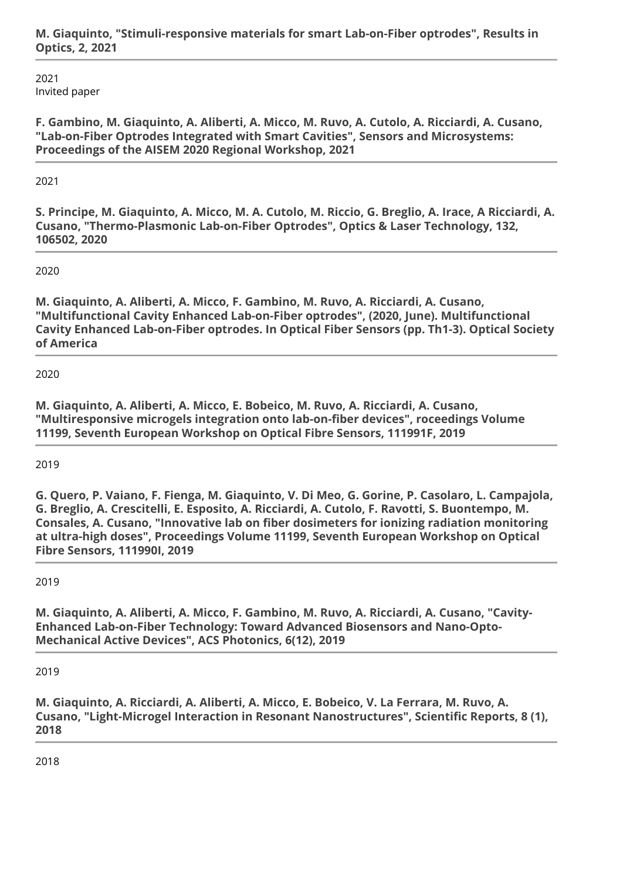2021 Invited paper

**F. Gambino, M. Giaquinto, A. Aliberti, A. Micco, M. Ruvo, A. Cutolo, A. Ricciardi, A. Cusano, "Lab-on-Fiber Optrodes Integrated with Smart Cavities", Sensors and Microsystems: Proceedings of the AISEM 2020 Regional Workshop, 2021** 

2021

**S. Principe, M. Giaquinto, A. Micco, M. A. Cutolo, M. Riccio, G. Breglio, A. Irace, A Ricciardi, A. Cusano, "Thermo-Plasmonic Lab-on-Fiber Optrodes", Optics & Laser Technology, 132, 106502, 2020** 

2020

**M. Giaquinto, A. Aliberti, A. Micco, F. Gambino, M. Ruvo, A. Ricciardi, A. Cusano, "Multifunctional Cavity Enhanced Lab-on-Fiber optrodes", (2020, June). Multifunctional Cavity Enhanced Lab-on-Fiber optrodes. In Optical Fiber Sensors (pp. Th1-3). Optical Society of America** 

2020

**M. Giaquinto, A. Aliberti, A. Micco, E. Bobeico, M. Ruvo, A. Ricciardi, A. Cusano, "Multiresponsive microgels integration onto lab-on-fiber devices", roceedings Volume 11199, Seventh European Workshop on Optical Fibre Sensors, 111991F, 2019** 

2019

**G. Quero, P. Vaiano, F. Fienga, M. Giaquinto, V. Di Meo, G. Gorine, P. Casolaro, L. Campajola, G. Breglio, A. Crescitelli, E. Esposito, A. Ricciardi, A. Cutolo, F. Ravotti, S. Buontempo, M. Consales, A. Cusano, "Innovative lab on fiber dosimeters for ionizing radiation monitoring at ultra-high doses", Proceedings Volume 11199, Seventh European Workshop on Optical Fibre Sensors, 111990I, 2019** 

2019

**M. Giaquinto, A. Aliberti, A. Micco, F. Gambino, M. Ruvo, A. Ricciardi, A. Cusano, "Cavity-Enhanced Lab-on-Fiber Technology: Toward Advanced Biosensors and Nano-Opto-Mechanical Active Devices", ACS Photonics, 6(12), 2019** 

2019

**M. Giaquinto, A. Ricciardi, A. Aliberti, A. Micco, E. Bobeico, V. La Ferrara, M. Ruvo, A. Cusano, "Light-Microgel Interaction in Resonant Nanostructures", Scientific Reports, 8 (1), 2018** 

2018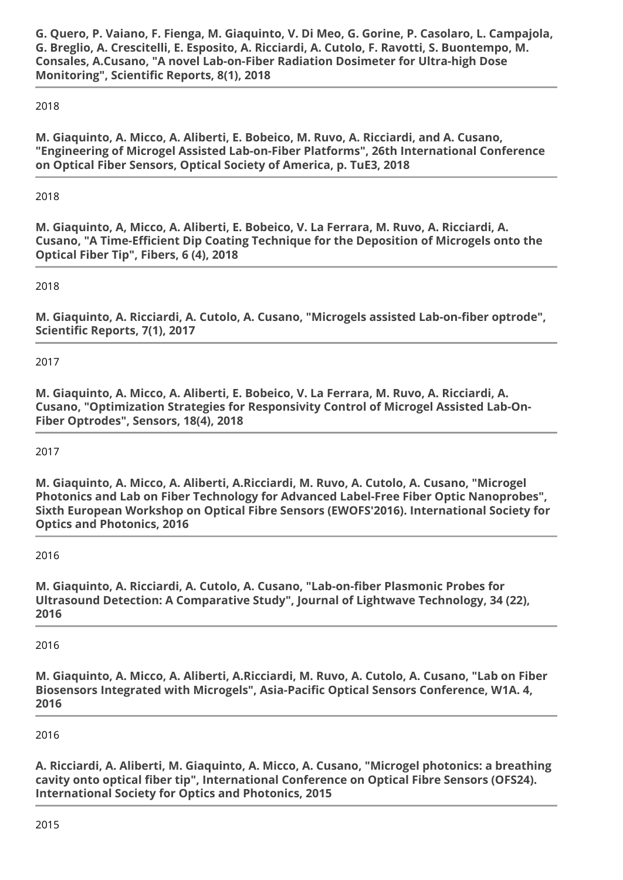**G. Quero, P. Vaiano, F. Fienga, M. Giaquinto, V. Di Meo, G. Gorine, P. Casolaro, L. Campajola, G. Breglio, A. Crescitelli, E. Esposito, A. Ricciardi, A. Cutolo, F. Ravotti, S. Buontempo, M. Consales, A.Cusano, "A novel Lab-on-Fiber Radiation Dosimeter for Ultra-high Dose Monitoring", Scientific Reports, 8(1), 2018** 

# 2018

**M. Giaquinto, A. Micco, A. Aliberti, E. Bobeico, M. Ruvo, A. Ricciardi, and A. Cusano, "Engineering of Microgel Assisted Lab-on-Fiber Platforms", 26th International Conference on Optical Fiber Sensors, Optical Society of America, p. TuE3, 2018** 

2018

**M. Giaquinto, A, Micco, A. Aliberti, E. Bobeico, V. La Ferrara, M. Ruvo, A. Ricciardi, A. Cusano, "A Time-Efficient Dip Coating Technique for the Deposition of Microgels onto the Optical Fiber Tip", Fibers, 6 (4), 2018** 

2018

**M. Giaquinto, A. Ricciardi, A. Cutolo, A. Cusano, "Microgels assisted Lab-on-fiber optrode", Scientific Reports, 7(1), 2017** 

2017

**M. Giaquinto, A. Micco, A. Aliberti, E. Bobeico, V. La Ferrara, M. Ruvo, A. Ricciardi, A. Cusano, "Optimization Strategies for Responsivity Control of Microgel Assisted Lab-On-Fiber Optrodes", Sensors, 18(4), 2018** 

2017

**M. Giaquinto, A. Micco, A. Aliberti, A.Ricciardi, M. Ruvo, A. Cutolo, A. Cusano, "Microgel Photonics and Lab on Fiber Technology for Advanced Label-Free Fiber Optic Nanoprobes", Sixth European Workshop on Optical Fibre Sensors (EWOFS'2016). International Society for Optics and Photonics, 2016** 

2016

**M. Giaquinto, A. Ricciardi, A. Cutolo, A. Cusano, "Lab-on-fiber Plasmonic Probes for Ultrasound Detection: A Comparative Study", Journal of Lightwave Technology, 34 (22), 2016** 

2016

**M. Giaquinto, A. Micco, A. Aliberti, A.Ricciardi, M. Ruvo, A. Cutolo, A. Cusano, "Lab on Fiber Biosensors Integrated with Microgels", Asia-Pacific Optical Sensors Conference, W1A. 4, 2016** 

2016

**A. Ricciardi, A. Aliberti, M. Giaquinto, A. Micco, A. Cusano, "Microgel photonics: a breathing cavity onto optical fiber tip", International Conference on Optical Fibre Sensors (OFS24). International Society for Optics and Photonics, 2015**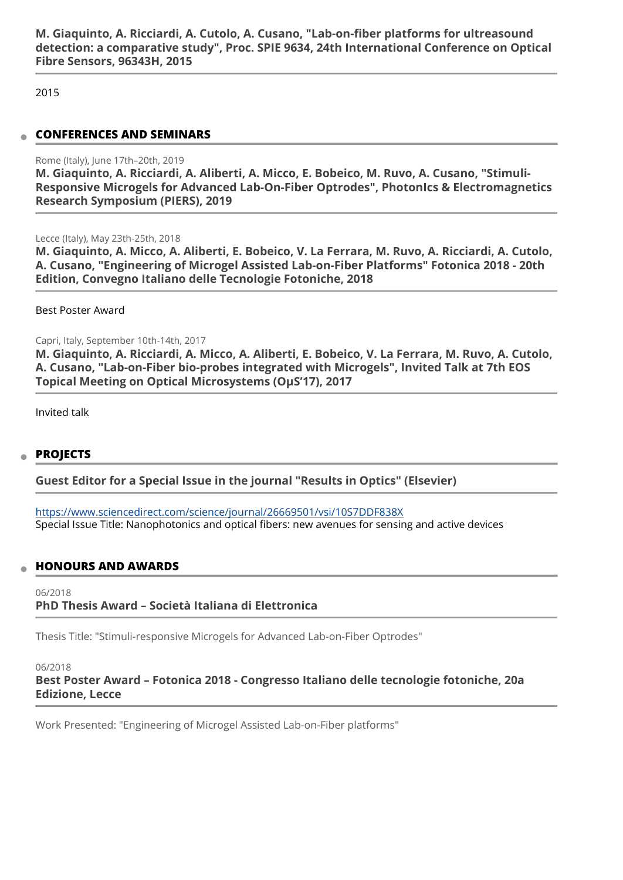**M. Giaquinto, A. Ricciardi, A. Cutolo, A. Cusano, "Lab-on-fiber platforms for ultreasound detection: a comparative study", Proc. SPIE 9634, 24th International Conference on Optical Fibre Sensors, 96343H, 2015** 

2015

#### **CONFERENCES AND SEMINARS**

#### Rome (Italy), June 17th–20th, 2019

**M. Giaquinto, A. Ricciardi, A. Aliberti, A. Micco, E. Bobeico, M. Ruvo, A. Cusano, "Stimuli-Responsive Microgels for Advanced Lab-On-Fiber Optrodes", PhotonIcs & Electromagnetics Research Symposium (PIERS), 2019** 

Lecce (Italy), May 23th-25th, 2018

**M. Giaquinto, A. Micco, A. Aliberti, E. Bobeico, V. La Ferrara, M. Ruvo, A. Ricciardi, A. Cutolo, A. Cusano, "Engineering of Microgel Assisted Lab-on-Fiber Platforms" Fotonica 2018 - 20th Edition, Convegno Italiano delle Tecnologie Fotoniche, 2018** 

Best Poster Award

Capri, Italy, September 10th-14th, 2017

**M. Giaquinto, A. Ricciardi, A. Micco, A. Aliberti, E. Bobeico, V. La Ferrara, M. Ruvo, A. Cutolo, A. Cusano, "Lab-on-Fiber bio-probes integrated with Microgels", Invited Talk at 7th EOS Topical Meeting on Optical Microsystems (OµS'17), 2017** 

Invited talk

## **PROJECTS**

**Guest Editor for a Special Issue in the journal "Results in Optics" (Elsevier)** 

https://www.sciencedirect.com/science/journal/26669501/vsi/10S7DDF838X Special Issue Title: Nanophotonics and optical fibers: new avenues for sensing and active devices

## **HONOURS AND AWARDS**

06/2018 **PhD Thesis Award – Società Italiana di Elettronica** 

Thesis Title: "Stimuli-responsive Microgels for Advanced Lab-on-Fiber Optrodes"

#### 06/2018

**Best Poster Award – Fotonica 2018 - Congresso Italiano delle tecnologie fotoniche, 20a Edizione, Lecce** 

Work Presented: "Engineering of Microgel Assisted Lab-on-Fiber platforms"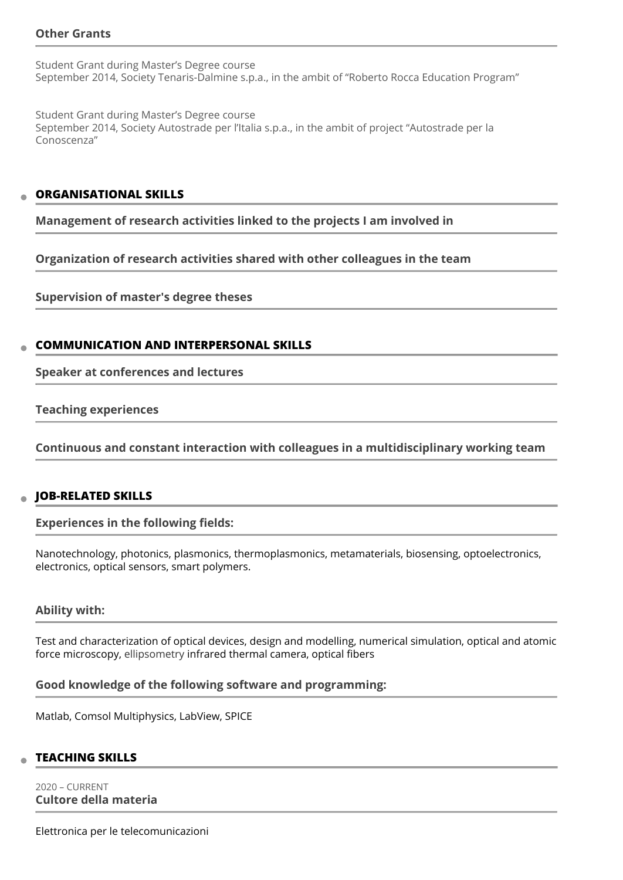# **Other Grants**

Student Grant during Master's Degree course September 2014, Society Tenaris-Dalmine s.p.a., in the ambit of "Roberto Rocca Education Program"

Student Grant during Master's Degree course September 2014, Society Autostrade per l'Italia s.p.a., in the ambit of project "Autostrade per la Conoscenza"

#### **ORGANISATIONAL SKILLS**

**Management of research activities linked to the projects I am involved in** 

**Organization of research activities shared with other colleagues in the team** 

**Supervision of master's degree theses** 

## **COMMUNICATION AND INTERPERSONAL SKILLS**

**Speaker at conferences and lectures** 

**Teaching experiences** 

**Continuous and constant interaction with colleagues in a multidisciplinary working team** 

## **JOB-RELATED SKILLS**

**Experiences in the following fields:** 

Nanotechnology, photonics, plasmonics, thermoplasmonics, metamaterials, biosensing, optoelectronics, electronics, optical sensors, smart polymers.

#### **Ability with:**

Test and characterization of optical devices, design and modelling, numerical simulation, optical and atomic force microscopy, ellipsometry infrared thermal camera, optical fibers

#### **Good knowledge of the following software and programming:**

Matlab, Comsol Multiphysics, LabView, SPICE

#### **TEACHING SKILLS**

2020 – CURRENT **Cultore della materia** 

Elettronica per le telecomunicazioni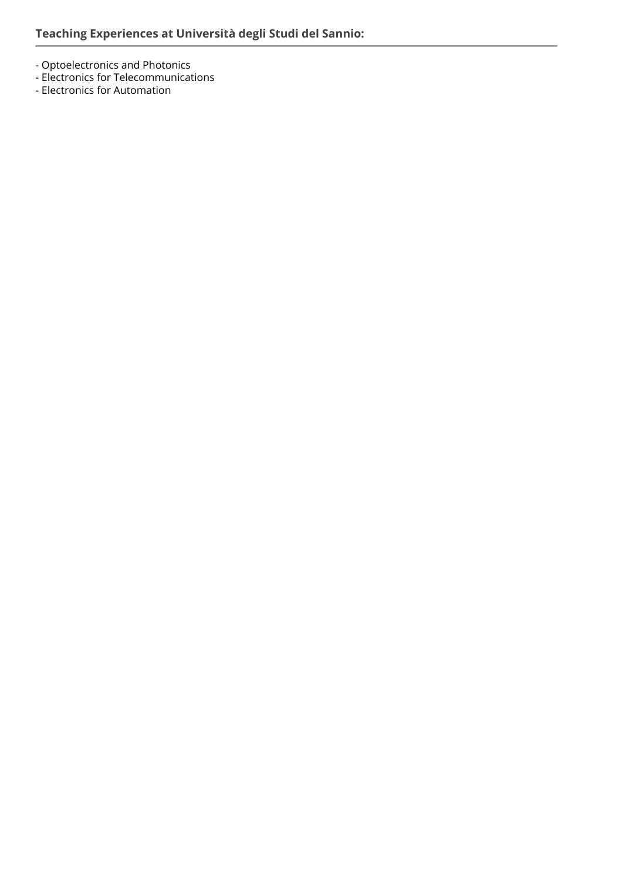- Optoelectronics and Photonics
- Electronics for Telecommunications
- Electronics for Automation